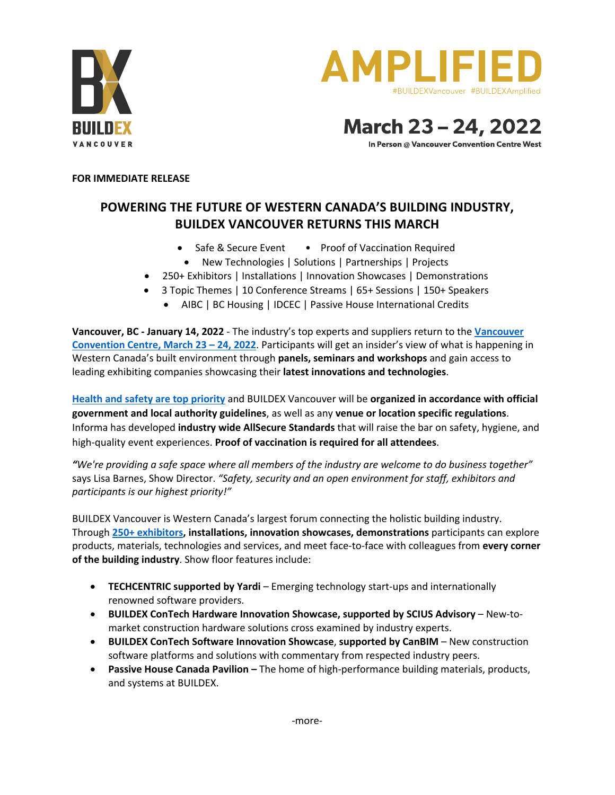



March 23-24, 2022

In Person @ Vancouver Convention Centre West

## **FOR IMMEDIATE RELEASE**

## **POWERING THE FUTURE OF WESTERN CANADA'S BUILDING INDUSTRY, BUILDEX VANCOUVER RETURNS THIS MARCH**

- Safe & Secure Event Proof of Vaccination Required
- New Technologies | Solutions | Partnerships | Projects
- 250+ Exhibitors | Installations | Innovation Showcases | Demonstrations
- 3 Topic Themes | 10 Conference Streams | 65+ Sessions | 150+ Speakers
	- AIBC | BC Housing | IDCEC | Passive House International Credits

**Vancouver, BC - January 14, 2022** - The industry's top experts and suppliers return to the **Vancouver Convention Centre, March 23 – 24, 2022**. Participants will get an insider's view of what is happening in Western Canada's built environment through **panels, seminars and workshops** and gain access to leading exhibiting companies showcasing their **latest innovations and technologies**.

**Health and safety are top priority** and BUILDEX Vancouver will be **organized in accordance with official government and local authority guidelines**, as well as any **venue or location specific regulations**. Informa has developed **industry wide AllSecure Standards** that will raise the bar on safety, hygiene, and high-quality event experiences. **Proof of vaccination is required for all attendees**.

*"We're providing a safe space where all members of the industry are welcome to do business together"* says Lisa Barnes, Show Director. *"Safety, security and an open environment for staff, exhibitors and participants is our highest priority!"*

BUILDEX Vancouver is Western Canada's largest forum connecting the holistic building industry. Through **250+ exhibitors, installations, innovation showcases, demonstrations** participants can explore products, materials, technologies and services, and meet face-to-face with colleagues from **every corner of the building industry**. Show floor features include:

- **TECHCENTRIC supported by Yardi** Emerging technology start-ups and internationally renowned software providers.
- **BUILDEX ConTech Hardware Innovation Showcase, supported by SCIUS Advisory** New-tomarket construction hardware solutions cross examined by industry experts.
- **BUILDEX ConTech Software Innovation Showcase**, **supported by CanBIM** New construction software platforms and solutions with commentary from respected industry peers.
- **Passive House Canada Pavilion –** The home of high-performance building materials, products, and systems at BUILDEX.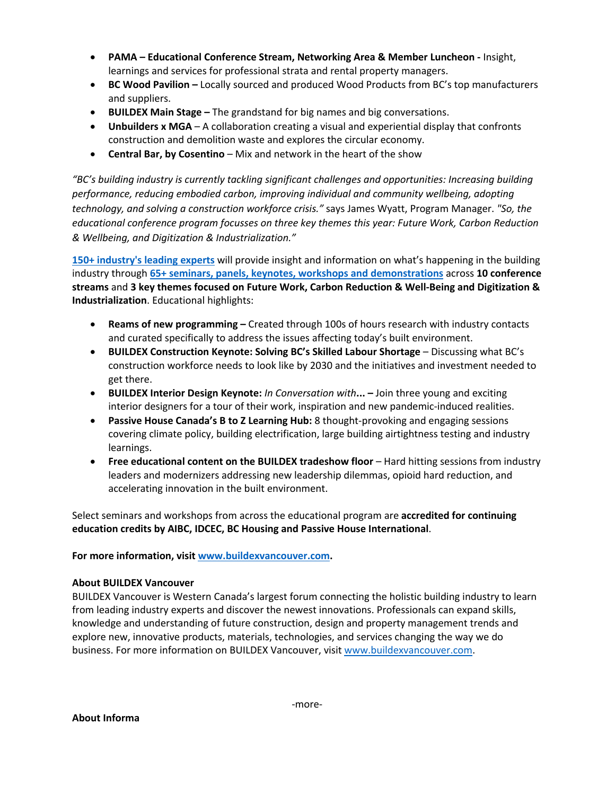- **PAMA – Educational Conference Stream, Networking Area & Member Luncheon -** Insight, learnings and services for professional strata and rental property managers.
- **BC Wood Pavilion –** Locally sourced and produced Wood Products from BC's top manufacturers and suppliers.
- **BUILDEX Main Stage –** The grandstand for big names and big conversations.
- **Unbuilders x MGA** A collaboration creating a visual and experiential display that confronts construction and demolition waste and explores the circular economy.
- **Central Bar, by Cosentino** Mix and network in the heart of the show

*"BC's building industry is currently tackling significant challenges and opportunities: Increasing building performance, reducing embodied carbon, improving individual and community wellbeing, adopting technology, and solving a construction workforce crisis."* says James Wyatt, Program Manager. *"So, the educational conference program focusses on three key themes this year: Future Work, Carbon Reduction & Wellbeing, and Digitization & Industrialization."*

**150+ industry's leading experts** will provide insight and information on what's happening in the building industry through **65+ seminars, panels, keynotes, workshops and demonstrations** across **10 conference streams** and **3 key themes focused on Future Work, Carbon Reduction & Well-Being and Digitization & Industrialization**. Educational highlights:

- **Reams of new programming –** Created through 100s of hours research with industry contacts and curated specifically to address the issues affecting today's built environment.
- **BUILDEX Construction Keynote: Solving BC's Skilled Labour Shortage** Discussing what BC's construction workforce needs to look like by 2030 and the initiatives and investment needed to get there.
- **BUILDEX Interior Design Keynote:** *In Conversation with***... –** Join three young and exciting interior designers for a tour of their work, inspiration and new pandemic-induced realities.
- **Passive House Canada's B to Z Learning Hub:** 8 thought-provoking and engaging sessions covering climate policy, building electrification, large building airtightness testing and industry learnings.
- **Free educational content on the BUILDEX tradeshow floor** Hard hitting sessions from industry leaders and modernizers addressing new leadership dilemmas, opioid hard reduction, and accelerating innovation in the built environment.

Select seminars and workshops from across the educational program are **accredited for continuing education credits by AIBC, IDCEC, BC Housing and Passive House International**.

**For more information, visit www.buildexvancouver.com.** 

## **About BUILDEX Vancouver**

BUILDEX Vancouver is Western Canada's largest forum connecting the holistic building industry to learn from leading industry experts and discover the newest innovations. Professionals can expand skills, knowledge and understanding of future construction, design and property management trends and explore new, innovative products, materials, technologies, and services changing the way we do business. For more information on BUILDEX Vancouver, visit www.buildexvancouver.com.